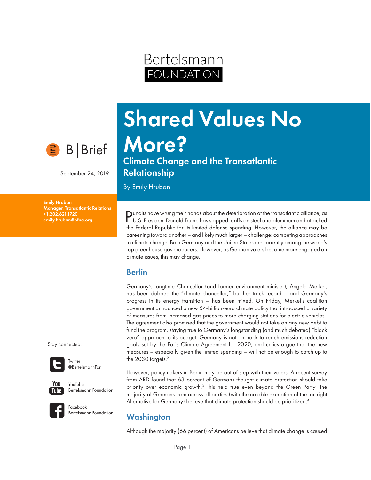

September 24, 2019

Emily Hruban Manager, Transatlantic Relations +1.202.621.1720 emily.hruban@bfna.org

Shared Values No More?

Climate Change and the Transatlantic Relationship

Bertelsmann

OUNDATION

By Emily Hruban

Pundits have wrung their hands about the deterioration of the transatlantic alliance, as U.S. President Donald Trump has slapped tariffs on steel and aluminum and attacked the Federal Republic for its limited defense spending. However, the alliance may be careening toward another – and likely much larger – challenge: competing approaches to climate change. Both Germany and the United States are currently among the world's top greenhouse gas producers. However, as German voters become more engaged on climate issues, this may change.

#### Berlin

Germany's longtime Chancellor (and former environment minister), Angela Merkel, has been dubbed the "climate chancellor," but her track record – and Germany's progress in its energy transition – has been mixed. On Friday, Merkel's coalition government announced a new 54-billion-euro climate policy that introduced a variety of measures from increased gas prices to more charging stations for electric vehicles.1 The agreement also promised that the government would not take on any new debt to fund the program, staying true to Germany's longstanding (and much debated) "black zero" approach to its budget. Germany is not on track to reach emissions reduction goals set by the Paris Climate Agreement for 2020, and critics argue that the new measures – especially given the limited spending – will not be enough to catch up to the 2030 targets.<sup>2</sup>

However, policymakers in Berlin may be out of step with their voters. A recent survey from ARD found that 63 percent of Germans thought climate protection should take priority over economic growth.<sup>3</sup> This held true even beyond the Green Party. The majority of Germans from across all parties (with the notable exception of the far-right Alternative for Germany) believe that climate protection should be prioritized.<sup>4</sup>

# **Washington**

Although the majority (66 percent) of Americans believe that climate change is caused

Stay connected:



**Twitter** @BertelsmannFdn



YouTube Bertelsmann Foundation



Facebook Bertelsmann Foundation